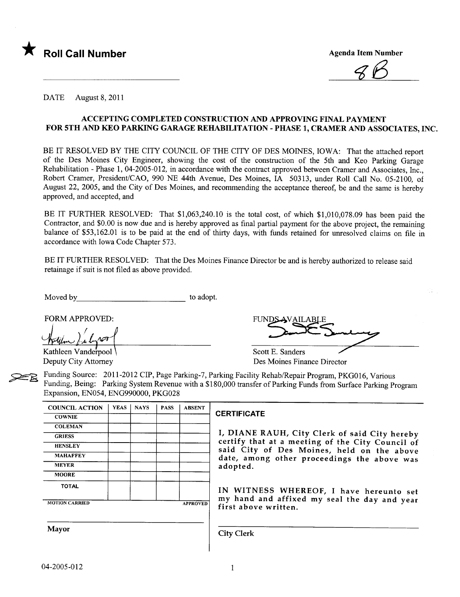

 $\mathcal{Z}$ 

DATE August 8, 2011

### ACCEPTING COMPLETED CONSTRUCTION AND APPROVING FINAL PAYMENT FOR 5TH AND KEO PARKNG GARAGE REHABILITATION - PHASE 1, CRAMER AND ASSOCIATES, INC.

BE IT RESOLVED BY THE CITY COUNCIL OF THE CITY OF DES MOINES, IOWA: That the attached report of the Des Moines City Engineer, showing the cost of the construction of the 5th and Keo Parking Garage Rehabilitation - Phase 1, 04-2005-012, in accordance with the contract approved between Cramer and Associates, Inc., Robert Cramer, President/CAO, 990 NE 44th Avenue, Des Moines, IA 50313, under Roll Call No. 05-2100, of August 22, 2005, and the City of Des Moines, and recommending the acceptance thereof, be and the same is hereby approved, and accepted, and

BE IT FURTHER RESOLVED: That \$1,063,240.10 is the total cost, of which \$1,010,078.09 has been paid the Contractor, and \$0.00 is now due and is hereby approved as final parial payment for the above project, the remaining balance of \$53,162.01 is to be paid at the end of thirty days, with funds retained for unresolved claims on file in accordance with Iowa Code Chapter 573.

BE IT FURTHER RESOLVED: That the Des Moines Finance Director be and is hereby authorized to release said retainage if suit is not fied as above provided.

Moved by to adopt.

FORM APPROVED: FUNDSAVAILABLE<br>
Kathleen Vanderpool . Scott E. Sanders

Deputy City Attorney **Des Moines Finance Director** 

**25** Funding Source: 2011-2012 CIP, Page Parking-7, Parking Facility Rehab/Repair Program, PKG016, Various Funding, Being: Parking System Revenue with a \$180,000 transfer of Parking Funds from Surface Parking Program Expansion, EN054, ENG990000, PKG028

| <b>COUNCIL ACTION</b> | <b>YEAS</b> | <b>NAYS</b> | <b>PASS</b> | <b>ABSENT</b>   |                        |
|-----------------------|-------------|-------------|-------------|-----------------|------------------------|
| <b>COWNIE</b>         |             |             |             |                 | <b>CERTIFICA</b>       |
| <b>COLEMAN</b>        |             |             |             |                 |                        |
| <b>GRIESS</b>         |             |             |             |                 | I, DIANI<br>certify tl |
| <b>HENSLEY</b>        |             |             |             |                 | said Cit               |
| <b>MAHAFFEY</b>       |             |             |             |                 | date, am               |
| <b>MEYER</b>          |             |             |             |                 | adopted.               |
| <b>MOORE</b>          |             |             |             |                 |                        |
| <b>TOTAL</b>          |             |             |             |                 | IN WITI<br>my hand     |
| <b>MOTION CARRIED</b> |             |             |             | <b>APPROVED</b> | first abo              |
| <b>Mayor</b>          |             |             |             |                 |                        |
|                       |             |             |             |                 | <b>City Clerk</b>      |

### **CERTIFICATE**

I, DIANE RAUH, City Clerk of said City hereby certify that at a meeting of the City Council of said City of Des Moines, held on the above date, among other proceedings the above was adopted.

IN WITNESS WHEREOF, I have hereunto set my hand and affixed my seal the day and year first above written.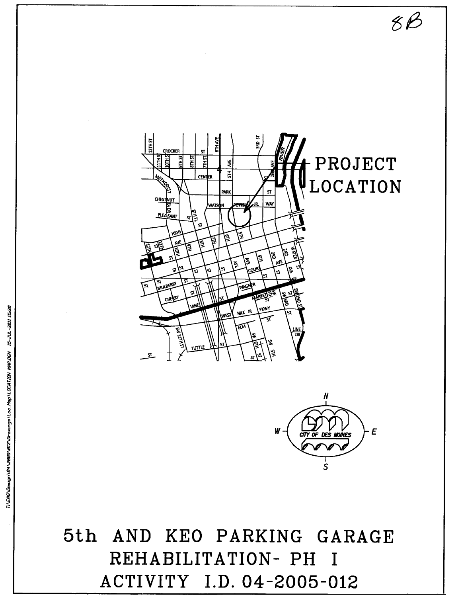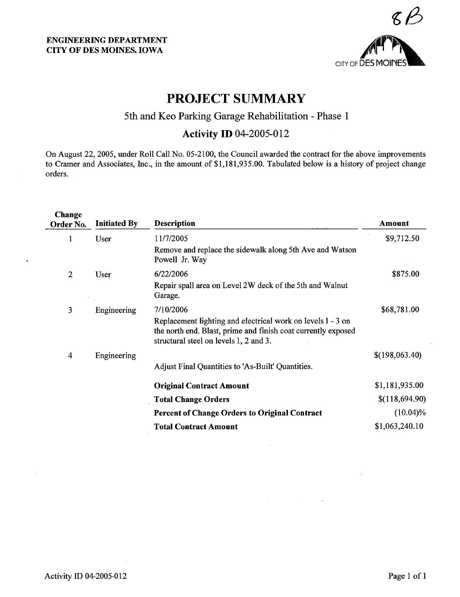

# PROJECT SUMMARY

## 5th and Keo Parking Garage Rehabilitation - Phase 1

# Activity ID 04-2005-012

On August 22, 2005, under Roll Call No. 05-2100, the Council awarded the contract for the above improvements to Cramer and Associates, mc., in the amount of \$1,181,935.00. Tabulated below is a history of project change orders.

| Change<br>Order No. | <b>Initiated By</b> | <b>Description</b>                                                                                                                                                     | Amount         |
|---------------------|---------------------|------------------------------------------------------------------------------------------------------------------------------------------------------------------------|----------------|
| 1                   | User                | 11/7/2005                                                                                                                                                              | \$9,712.50     |
|                     |                     | Remove and replace the sidewalk along 5th Ave and Watson<br>Powell Jr. Way                                                                                             |                |
| $\overline{2}$      | User                | 6/22/2006                                                                                                                                                              | \$875.00       |
|                     |                     | Repair spall area on Level 2W deck of the 5th and Walnut<br>Garage.                                                                                                    |                |
| $\mathfrak{Z}$      | Engineering         | 7/10/2006                                                                                                                                                              | \$68,781.00    |
|                     |                     | Replacement lighting and electrical work on levels 1 - 3 on<br>the north end. Blast, prime and finish coat currently exposed<br>structural steel on levels 1, 2 and 3. |                |
| 4                   | Engineering         |                                                                                                                                                                        | \$(198,063.40) |
|                     |                     | Adjust Final Quantities to 'As-Built' Quantities.                                                                                                                      |                |
|                     |                     | <b>Original Contract Amount</b>                                                                                                                                        | \$1,181,935.00 |
|                     |                     | <b>Total Change Orders</b>                                                                                                                                             | \$(118,694.90) |
|                     |                     | <b>Percent of Change Orders to Original Contract</b>                                                                                                                   | $(10.04)\%$    |
|                     |                     | <b>Total Contract Amount</b>                                                                                                                                           | \$1,063,240.10 |
|                     |                     |                                                                                                                                                                        |                |

 $\sim$ 

 $\cdot$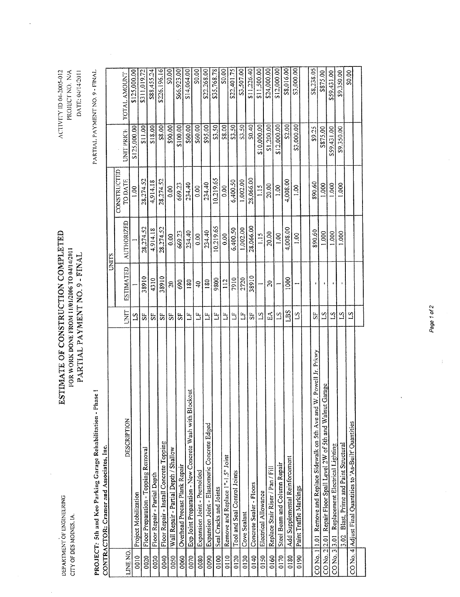# ESTIMATE OF CONSTRUCTION COMPLETED FOR WORK DONE FROM H/01/2006 TO 04/14/2011<br>PARTIAL PAYMENT NO. 9 - FINAL

DATE: 04/14/2011 ACTIVITY ID 04-2005-012 PROJECT NO. N/A

l,

PROJECT: 5th and Keo Parking Garage Rehabilitation - Phase I<br>CONTRACTOR: Cramer and Associates, Inc.

PARTIAL PAYMENT NO. 9 - FINAL

|               |                                                                                   |                |                  | UNITS             |                 |                          |              |
|---------------|-----------------------------------------------------------------------------------|----------------|------------------|-------------------|-----------------|--------------------------|--------------|
|               |                                                                                   |                |                  |                   | CONSTRUCTED     |                          |              |
| LINE NO.      | DESCRIPTION                                                                       | <b>SNF</b>     | <b>ESTIMATED</b> | <b>AUTHORIZED</b> | <b>TO DATE</b>  | UNIT PRICE               | TOTAL AMOUNT |
| 0010          | Project Mobilization                                                              | $\mathbf{r}$   |                  |                   | 1.00            | \$125,000.00             | \$125,000.00 |
| 0020          | Floor Preparation - Topping Removal                                               | ίż,            | 38910            | 28,274.52         | 28,274.52       | 511.00                   | \$311,019.72 |
| 0030          | Floor Repair - Partial Depth                                                      | 55             | 4310             | 4,914.18          | 4,914.18        | \$18.00                  | \$88,455.24  |
| 0040          | Floor Repair - Install Concrete Topping                                           | 55             | 38910            | 28,274.52         | 28,274.52       | \$8,00                   | \$226,196.16 |
| 0050          | Wall Repair - Partial Depth / Shallow                                             | 55             | $\overline{c}$   | 0.00              | 0.00            | \$90.00                  | \$0.00       |
| 0060          | Overhead Precast Plank Repair                                                     | 55             | 690              | 669.23            | 669.23          | \$100.00                 | \$66,923.00  |
| 0070          | Exp Joint Preparation - New Concrete Wash with Blockout                           | 5              | 180              | 234.40            | 234.40          | \$60.00                  | \$14,064.00  |
| 0800          | Expansion Joint - Premolded                                                       | لتا            | $\mathfrak{S}$   | 0.00              | 0.00            | \$60.00                  | \$0.00       |
| 0090          | Expansion Joint - Elastomeric Concrete Edged                                      | $\Xi$          | 180              | 234.40            | 234.40          | \$95.00                  | \$22,268.00  |
| 0100          | Seal Cracks and Joints                                                            | تخ             | 9800             | 0,219.65          | 0,219.65        | $\overline{\text{2.50}}$ | \$35,768.78  |
| 0110          | Remove and Replace 1"-1.5" Joint                                                  | $\mathbb{Z}$   | 112              | 0.00              | $\frac{1}{2}$   | \$8.00                   | \$0.00       |
| 0120          | Tool and Seal Control Joints                                                      | Ë              | 7910             | 6,400.50          | 6,400.50        | \$3.50                   | \$22,401.75  |
| 0130          | Cove Sealant                                                                      | $\mathbb{Z}$   | 2720             | 1,002.00          | 1,002.00        | 53.50                    | \$3,507.00   |
| 0140          | Concrete Sealer - Floors                                                          | S.             | 38910            | 28,066.00         | 28,066.00       | S <sub>0</sub> .40       | \$11,226.40  |
| 0150          | Electrical Allowance                                                              | $\mathbb{S}^1$ |                  | 1.15              | 1.15            | \$10,000.00              | \$11,500.00  |
| 0160          | Replace Stair Riser / Pan / Fill                                                  | $\mathbb{E}^4$ | $\mathfrak{S}$   | 20.00             | 20.00           | \$1,200.00               | \$24,000.00  |
| 0170          | Steel Beam and Column Repair                                                      | $^{2}$         |                  | 1.00              | 1.00            | \$12,000.00              | \$12,000.00  |
| 0180          | Add Supplemental Reinforcement                                                    | <b>SET</b>     | 1000             | 4,008.00          | 4,008.00        | \$2.00                   | \$8,016.00   |
| 0190          | Paint Traffic Markings                                                            | $\mathfrak{L}$ |                  | 0011              | $\frac{8}{100}$ | \$3,000.00               | S3,000.00    |
|               |                                                                                   |                |                  |                   |                 |                          |              |
|               | '. Powell Jr. Prkwy<br>CO No. 1 1.01 Remove and Replace Sidewalk on 5th Ave and W | 53             |                  | 890.60            | 890.60          | \$9.25                   | S8,238.05    |
| CO No. 2 2.01 | iarage<br>Repair Floor Spall Level 2W of 5th and Walnut G                         | $\mathbf{S}$   |                  | 1,000             | 1.000           | \$875.00                 | \$875.00     |
| CONo. 3 3.01  | Replacement Electrical Lighting                                                   | $\mathbb{S}^1$ |                  | 1.000             | 1.000           | \$59,431.00              | \$59,431.00  |
|               | Blast, Prime and Paint Structural<br>3.02                                         | $^{2}$         |                  | 1.000             | 1.000           | \$9,350.00               | \$9,350.00   |
|               | CO No. 4 Adjust Final Quantities to 'As-Built' Quantities                         | 21             |                  |                   |                 |                          | \$0.00       |
|               |                                                                                   |                |                  |                   |                 |                          |              |
|               |                                                                                   |                |                  |                   |                 |                          |              |

Page 1 of 2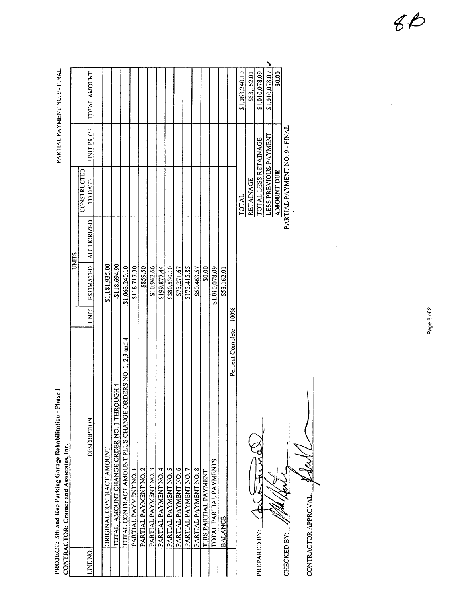PROJECT: 5th and Keo Parking Garage Rehabilitation - Phase I<br>CONTRACTOR: Cramer and Associates, Inc.

PARTIAL PAYMENT NO. 9 - FINAL

|          | "Juli "SaltaJoose" Bills ISIIE"」) "July I Ave. I A's I A's        |             |                |              |                               |                   |                |
|----------|-------------------------------------------------------------------|-------------|----------------|--------------|-------------------------------|-------------------|----------------|
|          |                                                                   |             |                | <b>UNITS</b> |                               |                   |                |
| LINE NO. | <b>DESCRIPTION</b>                                                | <b>UNIT</b> | ESTIMATED      | AUTHORIZED   | CONSTRUCTED<br><b>TO DATE</b> | <b>UNIT PRICE</b> | TOTAL AMOUNT   |
|          |                                                                   |             |                |              |                               |                   |                |
|          | ORIGINAL CONTRACT AMOUNT                                          |             | \$1,181,935.00 |              |                               |                   |                |
|          | TOTAL AMOUNT CHANGE ORDER NO. I THROUGH 4                         |             | -\$118,694.90  |              |                               |                   |                |
|          | TOTAL CONTRACT AMOUNT PLUS CHANGE ORDERS NO. 1, 2,3 and 4         |             | \$1,063,240.10 |              |                               |                   |                |
|          | PARTIAL PAYMENT NO. I                                             |             | \$118,717.30   |              |                               |                   |                |
|          | PARTIAL PAYMENT NO. 2                                             |             | \$859.50       |              |                               |                   |                |
|          | PARTIAL PAYMENT NO. 3                                             |             | \$10,942.66    |              |                               |                   |                |
|          | PARTIAL PAYMENT NO. 4                                             |             | \$199,877.44   |              |                               |                   |                |
|          | PARTIAL PAYMENT NO. 5                                             |             | \$380,530.10   |              |                               |                   |                |
|          | PARTIAL PAYMENT NO. 6                                             |             | \$73,271.67    |              |                               |                   |                |
|          | PARTIAL PAYMENT NO. 7                                             |             | \$175,415.85   |              |                               |                   |                |
|          | PARTIAL PAYMENT NO. 8                                             |             | \$50,463.57    |              |                               |                   |                |
|          | THIS PARTIAL PAYMENT                                              |             | \$0.00         |              |                               |                   |                |
|          | TOTAL PARTIAL PAYMENTS                                            |             | \$1,010,078.09 |              |                               |                   |                |
|          | <b>BALANCE</b>                                                    |             | \$53,162.01    |              |                               |                   |                |
|          | Percent Complete 100%                                             |             |                |              |                               |                   |                |
|          |                                                                   |             |                |              | TOTAL                         |                   | \$1,063,240.10 |
|          |                                                                   |             |                |              | RETAINAGE                     |                   | \$53,162.01    |
|          | <b>CONSISTER</b><br>$\breve{\mathfrak{t}}$<br><b>PREPARED BY:</b> |             |                |              | TOTAL LESS RETAINAGE          |                   | \$1,010,078.09 |

CHECKED BY:  $\angle$ 

CONTRACTOR APPROVAL:

PARTIAL PAYMENT NO. 9 - FINAL ANOUNT DUE

 $\frac{1}{21,010,078.09}$ 

 $$0.00$ 

 $\overline{\phantom{a}}$ 

Page 2 of 2

 $\frac{1}{2}$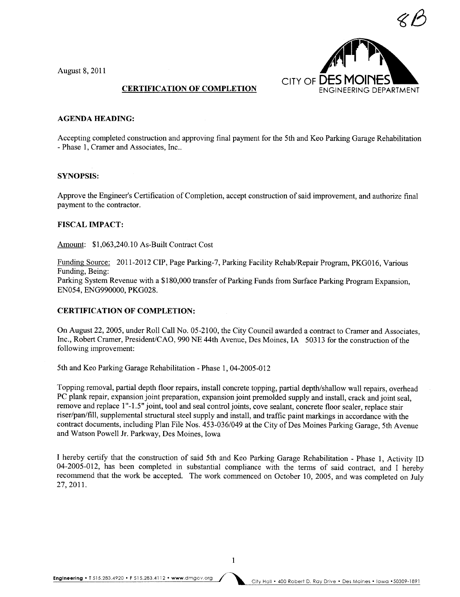August 8, 2011



### CERTIFICATION OF COMPLETION

### AGENDA HEADING:

Accepting completed construction and approving final payment for the 5th and Keo Parking Garage Rehabilitation - Phase 1, Cramer and Associates, Inc..

### SYNOPSIS:

Approve the Engineer's Certification of Completion, accept construction of said improvement, and authorize final payment to the contractor,

### FISCAL IMPACT:

Amount: \$1,063,240.10 As-Built Contract Cost

Funding Source: 2011-2012 CIP, Page Parking-7, Parking Facility Rehab/Repair Program, PKG016, Various Funding, Being:

Parking System Revenue with a \$180,000 transfer of Parking Funds from Surface Parking Program Expansion, EN054, ENG990000, PKG028,

### CERTIFICATION OF COMPLETION:

On August 22,2005, under Roll Call No, 05-2100, the City Council awarded a contract to Cramer and Associates, Inc., Robert Cramer, President/CAO, 990 NE 44th Avenue, Des Moines, IA 50313 for the construction of the following improvement:

5th and Keo Parking Garage Rehabilitation - Phase 1,04-2005-012

Topping removal, partial depth floor repairs, install concrete topping, partial depth/shallow wall repairs, overhead PC plank repair, expansion joint preparation, expansion joint premolded supply and install, crack and joint seal, remove and replace 1"-1.5" joint, tool and seal control joints, cove sealant, concrete floor sealer, replace stair riser/pan/fill, supplemental structural steel supply and install, and traffic paint markings in accordance with the contract documents, including Plan File Nos, 453-036/049 at the City of Des Moines Parking Garage, 5th Avenue and Watson Powell Jr. Parkway, Des Moines, Iowa

I hereby certify that the construction of said 5th and Keo Parking Garage Rehabilitation - Phase 1, Activity ID 04-2005-012, has been completed in substantial compliance with the terms of said contract, and I hereby recommend that the work be accepted. The work commenced on October 10, 2005, and was completed on July 27,2011.